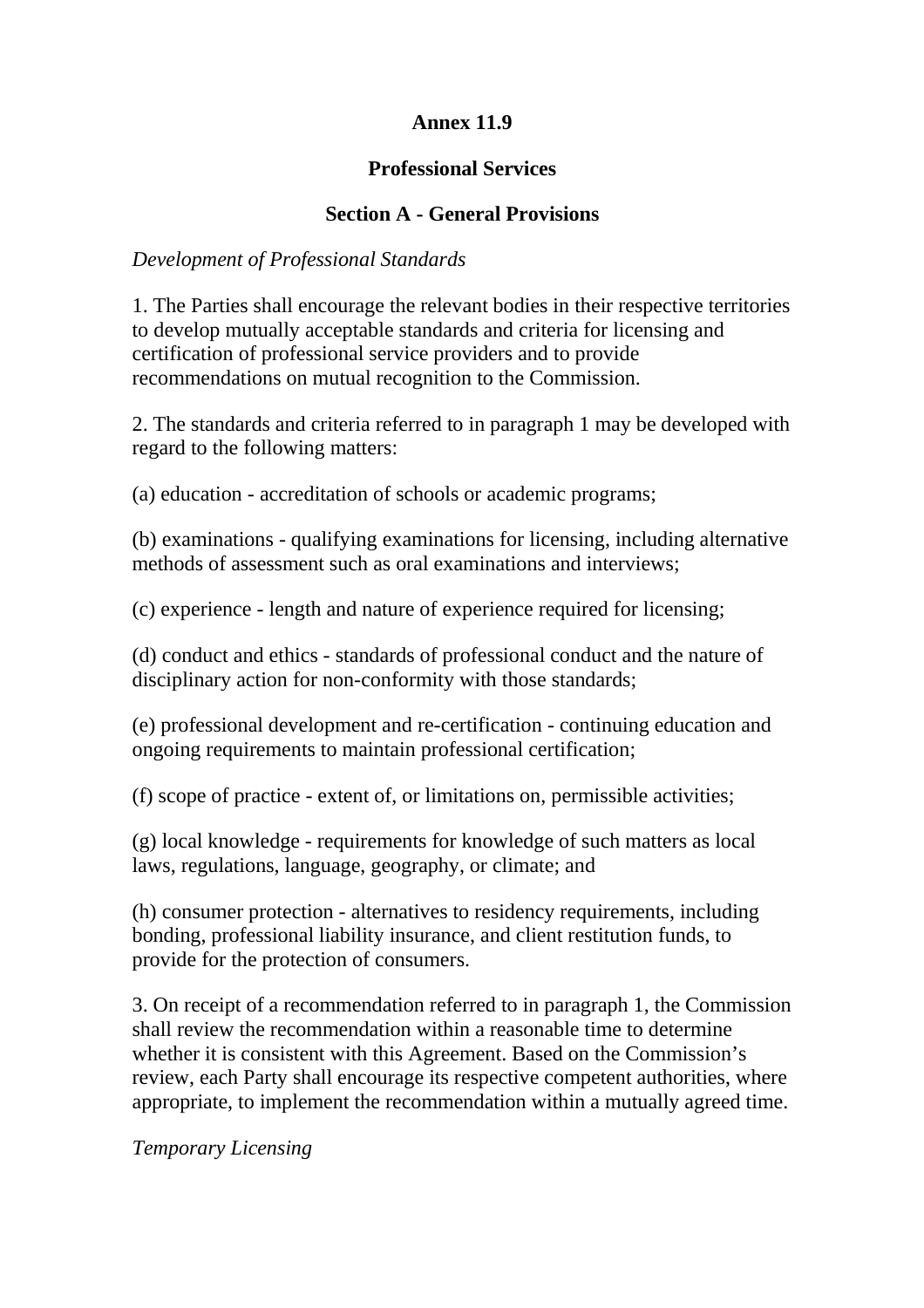#### **Annex 11.9**

#### **Professional Services**

## **Section A - General Provisions**

## *Development of Professional Standards*

1. The Parties shall encourage the relevant bodies in their respective territories to develop mutually acceptable standards and criteria for licensing and certification of professional service providers and to provide recommendations on mutual recognition to the Commission.

2. The standards and criteria referred to in paragraph 1 may be developed with regard to the following matters:

(a) education - accreditation of schools or academic programs;

(b) examinations - qualifying examinations for licensing, including alternative methods of assessment such as oral examinations and interviews;

(c) experience - length and nature of experience required for licensing;

(d) conduct and ethics - standards of professional conduct and the nature of disciplinary action for non-conformity with those standards;

(e) professional development and re-certification - continuing education and ongoing requirements to maintain professional certification;

(f) scope of practice - extent of, or limitations on, permissible activities;

(g) local knowledge - requirements for knowledge of such matters as local laws, regulations, language, geography, or climate; and

(h) consumer protection - alternatives to residency requirements, including bonding, professional liability insurance, and client restitution funds, to provide for the protection of consumers.

3. On receipt of a recommendation referred to in paragraph 1, the Commission shall review the recommendation within a reasonable time to determine whether it is consistent with this Agreement. Based on the Commission's review, each Party shall encourage its respective competent authorities, where appropriate, to implement the recommendation within a mutually agreed time.

*Temporary Licensing*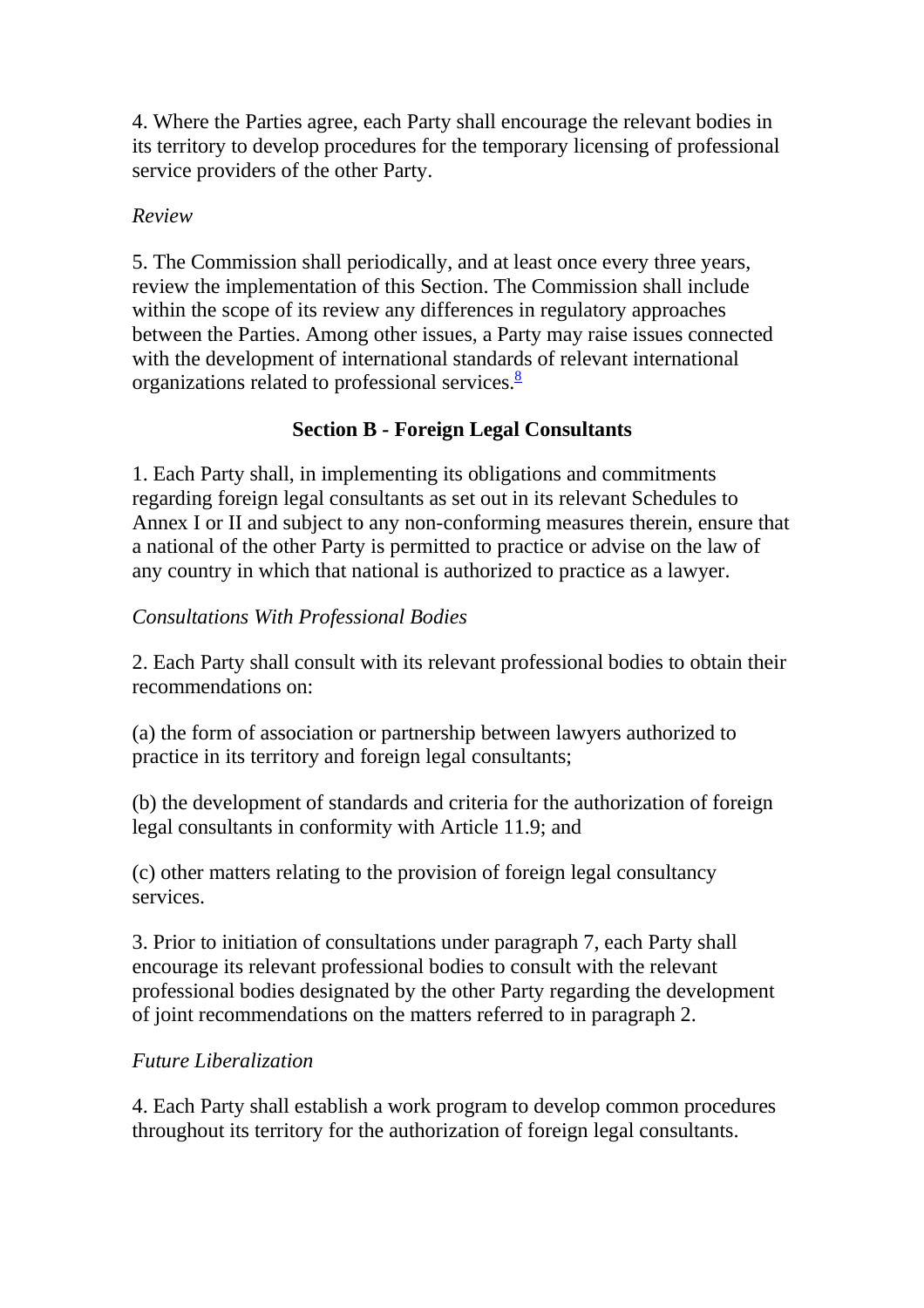4. Where the Parties agree, each Party shall encourage the relevant bodies in its territory to develop procedures for the temporary licensing of professional service providers of the other Party.

#### *Review*

5. The Commission shall periodically, and at least once every three years, review the implementation of this Section. The Commission shall include within the scope of its review any differences in regulatory approaches between the Parties. Among other issues, a Party may raise issues connected with the development of international standards of relevant international organizations related to professional services.<sup>8</sup>

# **Section B - Foreign Legal Consultants**

1. Each Party shall, in implementing its obligations and commitments regarding foreign legal consultants as set out in its relevant Schedules to Annex I or II and subject to any non-conforming measures therein, ensure that a national of the other Party is permitted to practice or advise on the law of any country in which that national is authorized to practice as a lawyer.

### *Consultations With Professional Bodies*

2. Each Party shall consult with its relevant professional bodies to obtain their recommendations on:

(a) the form of association or partnership between lawyers authorized to practice in its territory and foreign legal consultants;

(b) the development of standards and criteria for the authorization of foreign legal consultants in conformity with Article 11.9; and

(c) other matters relating to the provision of foreign legal consultancy services.

3. Prior to initiation of consultations under paragraph 7, each Party shall encourage its relevant professional bodies to consult with the relevant professional bodies designated by the other Party regarding the development of joint recommendations on the matters referred to in paragraph 2.

#### *Future Liberalization*

4. Each Party shall establish a work program to develop common procedures throughout its territory for the authorization of foreign legal consultants.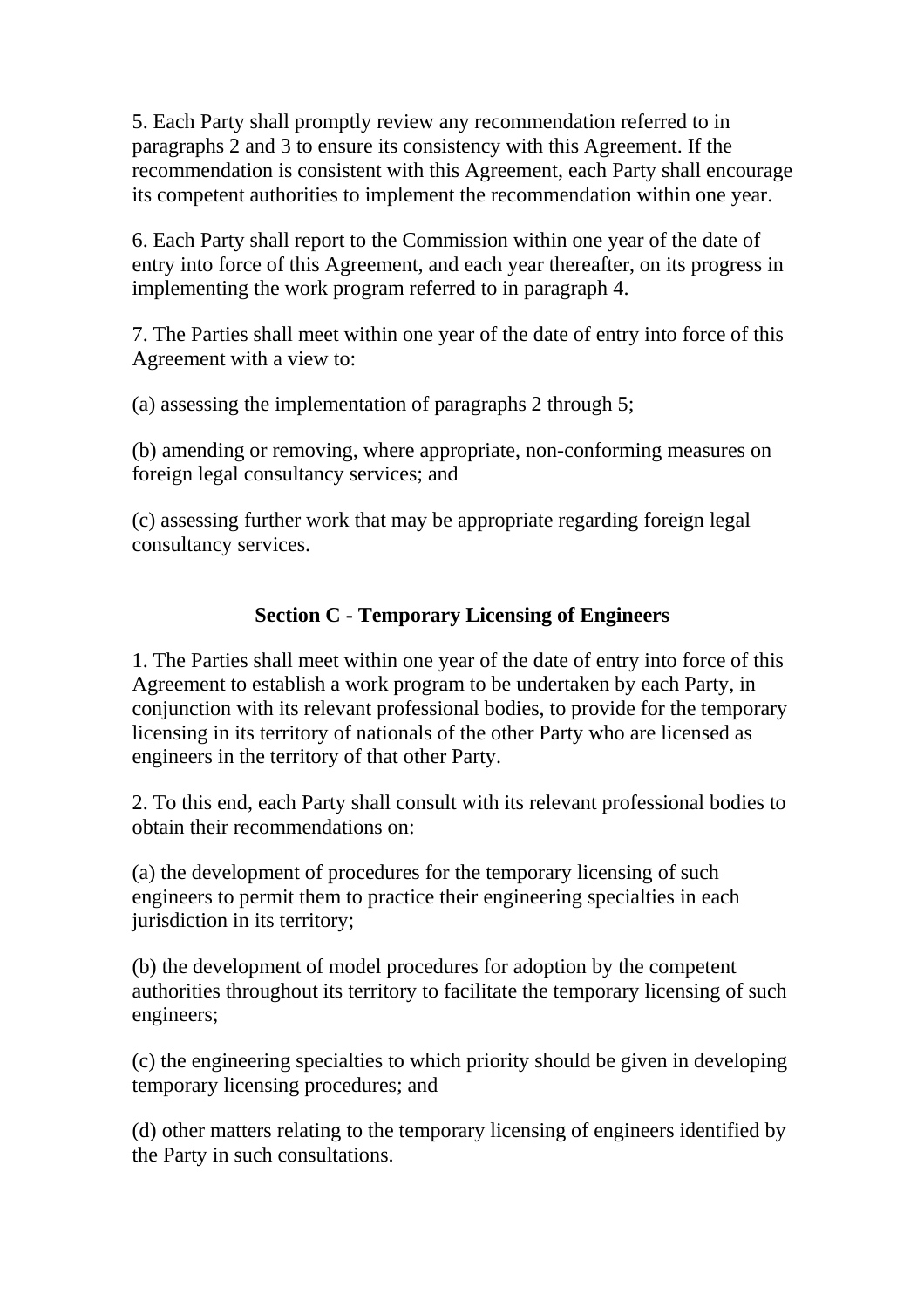5. Each Party shall promptly review any recommendation referred to in paragraphs 2 and 3 to ensure its consistency with this Agreement. If the recommendation is consistent with this Agreement, each Party shall encourage its competent authorities to implement the recommendation within one year.

6. Each Party shall report to the Commission within one year of the date of entry into force of this Agreement, and each year thereafter, on its progress in implementing the work program referred to in paragraph 4.

7. The Parties shall meet within one year of the date of entry into force of this Agreement with a view to:

(a) assessing the implementation of paragraphs 2 through 5;

(b) amending or removing, where appropriate, non-conforming measures on foreign legal consultancy services; and

(c) assessing further work that may be appropriate regarding foreign legal consultancy services.

# **Section C - Temporary Licensing of Engineers**

1. The Parties shall meet within one year of the date of entry into force of this Agreement to establish a work program to be undertaken by each Party, in conjunction with its relevant professional bodies, to provide for the temporary licensing in its territory of nationals of the other Party who are licensed as engineers in the territory of that other Party.

2. To this end, each Party shall consult with its relevant professional bodies to obtain their recommendations on:

(a) the development of procedures for the temporary licensing of such engineers to permit them to practice their engineering specialties in each jurisdiction in its territory;

(b) the development of model procedures for adoption by the competent authorities throughout its territory to facilitate the temporary licensing of such engineers;

(c) the engineering specialties to which priority should be given in developing temporary licensing procedures; and

(d) other matters relating to the temporary licensing of engineers identified by the Party in such consultations.